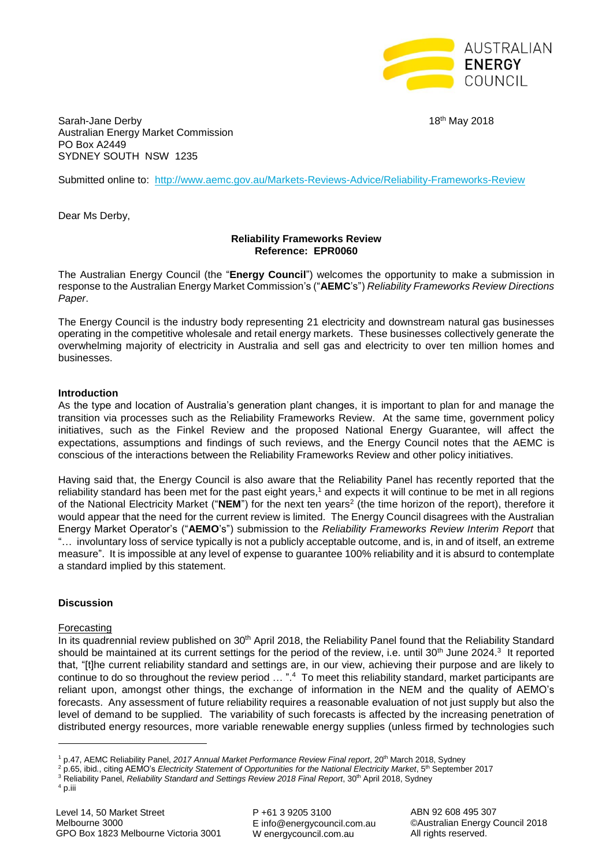

Sarah-Jane Derby 18th May 2018 Australian Energy Market Commission PO Box A2449 SYDNEY SOUTH NSW 1235

Submitted online to: <http://www.aemc.gov.au/Markets-Reviews-Advice/Reliability-Frameworks-Review>

Dear Ms Derby,

# **Reliability Frameworks Review Reference: EPR0060**

The Australian Energy Council (the "**Energy Council**") welcomes the opportunity to make a submission in response to the Australian Energy Market Commission's ("**AEMC**'s") *Reliability Frameworks Review Directions Paper*.

The Energy Council is the industry body representing 21 electricity and downstream natural gas businesses operating in the competitive wholesale and retail energy markets. These businesses collectively generate the overwhelming majority of electricity in Australia and sell gas and electricity to over ten million homes and businesses.

### **Introduction**

As the type and location of Australia's generation plant changes, it is important to plan for and manage the transition via processes such as the Reliability Frameworks Review. At the same time, government policy initiatives, such as the Finkel Review and the proposed National Energy Guarantee, will affect the expectations, assumptions and findings of such reviews, and the Energy Council notes that the AEMC is conscious of the interactions between the Reliability Frameworks Review and other policy initiatives.

Having said that, the Energy Council is also aware that the Reliability Panel has recently reported that the reliability standard has been met for the past eight years,<sup>1</sup> and expects it will continue to be met in all regions of the National Electricity Market ("NEM") for the next ten years<sup>2</sup> (the time horizon of the report), therefore it would appear that the need for the current review is limited. The Energy Council disagrees with the Australian Energy Market Operator's ("**AEMO**'s") submission to the *Reliability Frameworks Review Interim Report* that "… involuntary loss of service typically is not a publicly acceptable outcome, and is, in and of itself, an extreme measure". It is impossible at any level of expense to guarantee 100% reliability and it is absurd to contemplate a standard implied by this statement.

#### **Discussion**

#### Forecasting

In its quadrennial review published on 30<sup>th</sup> April 2018, the Reliability Panel found that the Reliability Standard should be maintained at its current settings for the period of the review, i.e. until 30<sup>th</sup> June 2024.<sup>3</sup> It reported that, "[t]he current reliability standard and settings are, in our view, achieving their purpose and are likely to continue to do so throughout the review period ... ".<sup>4</sup> To meet this reliability standard, market participants are reliant upon, amongst other things, the exchange of information in the NEM and the quality of AEMO's forecasts. Any assessment of future reliability requires a reasonable evaluation of not just supply but also the level of demand to be supplied. The variability of such forecasts is affected by the increasing penetration of distributed energy resources, more variable renewable energy supplies (unless firmed by technologies such

**.** 

P +61 3 9205 3100 E info@energycouncil.com.au W energycouncil.com.au

ABN 92 608 495 307 ©Australian Energy Council 2018 All rights reserved.

<sup>1</sup> p.47, AEMC Reliability Panel, *2017 Annual Market Performance Review Final report*, 20th March 2018, Sydney

<sup>2</sup> p.65, ibid*.*, citing AEMO's *Electricity Statement of Opportunities for the National Electricity Market*, 5th September 2017

<sup>&</sup>lt;sup>3</sup> Reliability Panel, *Reliability Standard and Settings Review 2018 Final Report*, 30<sup>th</sup> April 2018, Sydney

<sup>&</sup>lt;sup>4</sup> p.iii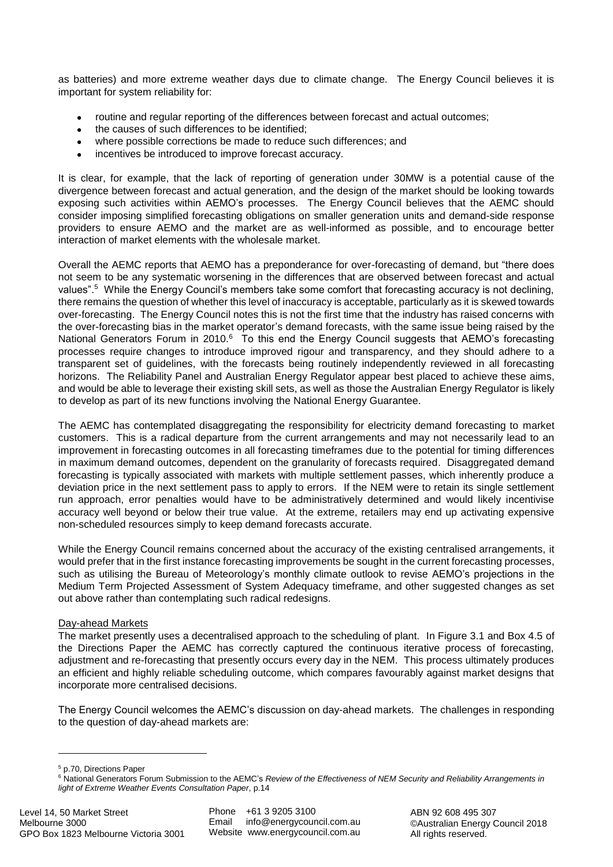as batteries) and more extreme weather days due to climate change. The Energy Council believes it is important for system reliability for:

- routine and regular reporting of the differences between forecast and actual outcomes;
- the causes of such differences to be identified;
- where possible corrections be made to reduce such differences; and
- incentives be introduced to improve forecast accuracy.

It is clear, for example, that the lack of reporting of generation under 30MW is a potential cause of the divergence between forecast and actual generation, and the design of the market should be looking towards exposing such activities within AEMO's processes. The Energy Council believes that the AEMC should consider imposing simplified forecasting obligations on smaller generation units and demand-side response providers to ensure AEMO and the market are as well-informed as possible, and to encourage better interaction of market elements with the wholesale market.

Overall the AEMC reports that AEMO has a preponderance for over-forecasting of demand, but "there does not seem to be any systematic worsening in the differences that are observed between forecast and actual values".<sup>5</sup> While the Energy Council's members take some comfort that forecasting accuracy is not declining, there remains the question of whether this level of inaccuracy is acceptable, particularly as it is skewed towards over-forecasting. The Energy Council notes this is not the first time that the industry has raised concerns with the over-forecasting bias in the market operator's demand forecasts, with the same issue being raised by the National Generators Forum in 2010.<sup>6</sup> To this end the Energy Council suggests that AEMO's forecasting processes require changes to introduce improved rigour and transparency, and they should adhere to a transparent set of guidelines, with the forecasts being routinely independently reviewed in all forecasting horizons. The Reliability Panel and Australian Energy Regulator appear best placed to achieve these aims, and would be able to leverage their existing skill sets, as well as those the Australian Energy Regulator is likely to develop as part of its new functions involving the National Energy Guarantee.

The AEMC has contemplated disaggregating the responsibility for electricity demand forecasting to market customers. This is a radical departure from the current arrangements and may not necessarily lead to an improvement in forecasting outcomes in all forecasting timeframes due to the potential for timing differences in maximum demand outcomes, dependent on the granularity of forecasts required. Disaggregated demand forecasting is typically associated with markets with multiple settlement passes, which inherently produce a deviation price in the next settlement pass to apply to errors. If the NEM were to retain its single settlement run approach, error penalties would have to be administratively determined and would likely incentivise accuracy well beyond or below their true value. At the extreme, retailers may end up activating expensive non-scheduled resources simply to keep demand forecasts accurate.

While the Energy Council remains concerned about the accuracy of the existing centralised arrangements, it would prefer that in the first instance forecasting improvements be sought in the current forecasting processes, such as utilising the Bureau of Meteorology's monthly climate outlook to revise AEMO's projections in the Medium Term Projected Assessment of System Adequacy timeframe, and other suggested changes as set out above rather than contemplating such radical redesigns.

# Day-ahead Markets

The market presently uses a decentralised approach to the scheduling of plant. In Figure 3.1 and Box 4.5 of the Directions Paper the AEMC has correctly captured the continuous iterative process of forecasting, adjustment and re-forecasting that presently occurs every day in the NEM. This process ultimately produces an efficient and highly reliable scheduling outcome, which compares favourably against market designs that incorporate more centralised decisions.

The Energy Council welcomes the AEMC's discussion on day-ahead markets. The challenges in responding to the question of day-ahead markets are:

<sup>5</sup> p.70, Directions Paper

1

<sup>6</sup> National Generators Forum Submission to the AEMC's *Review of the Effectiveness of NEM Security and Reliability Arrangements in light of Extreme Weather Events Consultation Paper*, p.14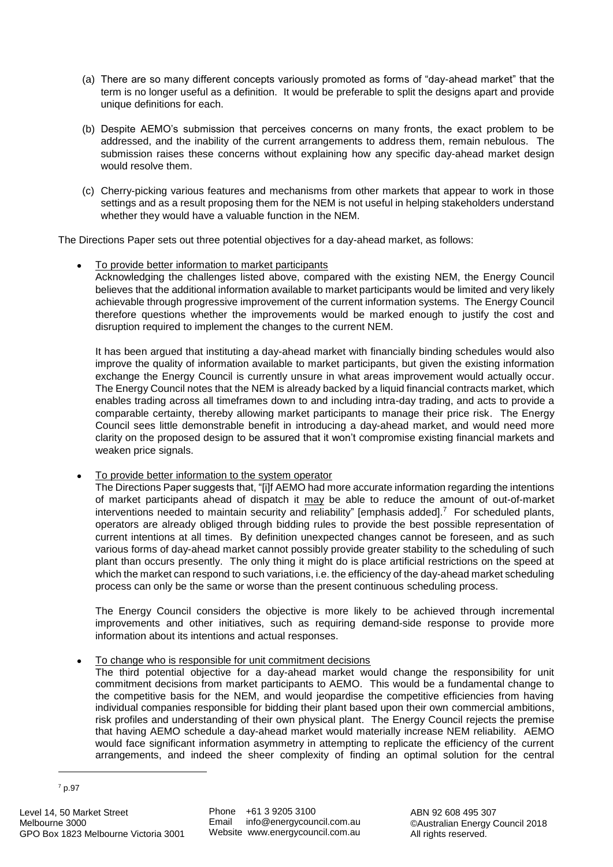- (a) There are so many different concepts variously promoted as forms of "day-ahead market" that the term is no longer useful as a definition. It would be preferable to split the designs apart and provide unique definitions for each.
- (b) Despite AEMO's submission that perceives concerns on many fronts, the exact problem to be addressed, and the inability of the current arrangements to address them, remain nebulous. The submission raises these concerns without explaining how any specific day-ahead market design would resolve them.
- (c) Cherry-picking various features and mechanisms from other markets that appear to work in those settings and as a result proposing them for the NEM is not useful in helping stakeholders understand whether they would have a valuable function in the NEM.

The Directions Paper sets out three potential objectives for a day-ahead market, as follows:

 To provide better information to market participants Acknowledging the challenges listed above, compared with the existing NEM, the Energy Council believes that the additional information available to market participants would be limited and very likely achievable through progressive improvement of the current information systems. The Energy Council therefore questions whether the improvements would be marked enough to justify the cost and disruption required to implement the changes to the current NEM.

It has been argued that instituting a day-ahead market with financially binding schedules would also improve the quality of information available to market participants, but given the existing information exchange the Energy Council is currently unsure in what areas improvement would actually occur. The Energy Council notes that the NEM is already backed by a liquid financial contracts market, which enables trading across all timeframes down to and including intra-day trading, and acts to provide a comparable certainty, thereby allowing market participants to manage their price risk. The Energy Council sees little demonstrable benefit in introducing a day-ahead market, and would need more clarity on the proposed design to be assured that it won't compromise existing financial markets and weaken price signals.

• To provide better information to the system operator

The Directions Paper suggests that, "[i]f AEMO had more accurate information regarding the intentions of market participants ahead of dispatch it may be able to reduce the amount of out-of-market interventions needed to maintain security and reliability" [emphasis added].<sup>7</sup> For scheduled plants, operators are already obliged through bidding rules to provide the best possible representation of current intentions at all times. By definition unexpected changes cannot be foreseen, and as such various forms of day-ahead market cannot possibly provide greater stability to the scheduling of such plant than occurs presently. The only thing it might do is place artificial restrictions on the speed at which the market can respond to such variations, i.e. the efficiency of the day-ahead market scheduling process can only be the same or worse than the present continuous scheduling process.

The Energy Council considers the objective is more likely to be achieved through incremental improvements and other initiatives, such as requiring demand-side response to provide more information about its intentions and actual responses.

# To change who is responsible for unit commitment decisions

The third potential objective for a day-ahead market would change the responsibility for unit commitment decisions from market participants to AEMO. This would be a fundamental change to the competitive basis for the NEM, and would jeopardise the competitive efficiencies from having individual companies responsible for bidding their plant based upon their own commercial ambitions, risk profiles and understanding of their own physical plant. The Energy Council rejects the premise that having AEMO schedule a day-ahead market would materially increase NEM reliability. AEMO would face significant information asymmetry in attempting to replicate the efficiency of the current arrangements, and indeed the sheer complexity of finding an optimal solution for the central

<sup>7</sup> p.97

1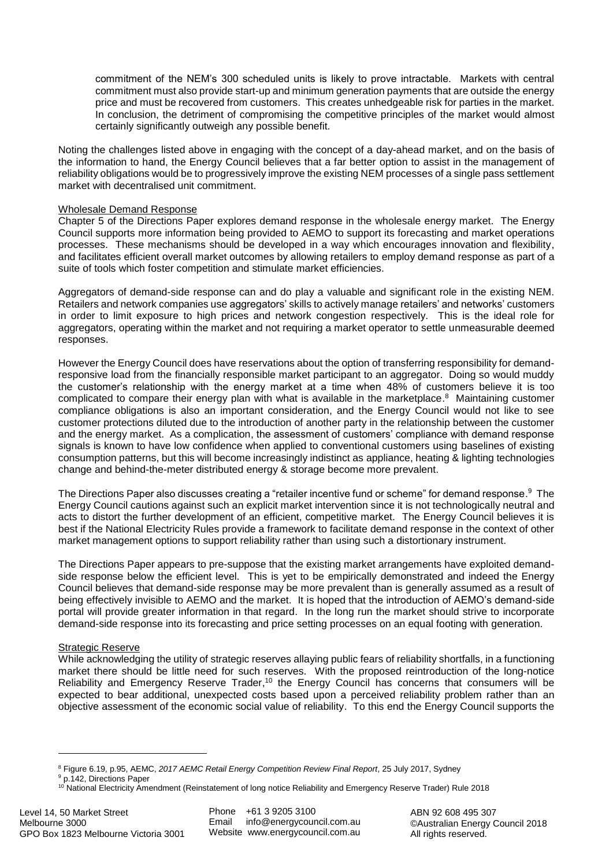commitment of the NEM's 300 scheduled units is likely to prove intractable. Markets with central commitment must also provide start-up and minimum generation payments that are outside the energy price and must be recovered from customers. This creates unhedgeable risk for parties in the market. In conclusion, the detriment of compromising the competitive principles of the market would almost certainly significantly outweigh any possible benefit.

Noting the challenges listed above in engaging with the concept of a day-ahead market, and on the basis of the information to hand, the Energy Council believes that a far better option to assist in the management of reliability obligations would be to progressively improve the existing NEM processes of a single pass settlement market with decentralised unit commitment.

#### Wholesale Demand Response

Chapter 5 of the Directions Paper explores demand response in the wholesale energy market. The Energy Council supports more information being provided to AEMO to support its forecasting and market operations processes. These mechanisms should be developed in a way which encourages innovation and flexibility, and facilitates efficient overall market outcomes by allowing retailers to employ demand response as part of a suite of tools which foster competition and stimulate market efficiencies.

Aggregators of demand-side response can and do play a valuable and significant role in the existing NEM. Retailers and network companies use aggregators' skills to actively manage retailers' and networks' customers in order to limit exposure to high prices and network congestion respectively. This is the ideal role for aggregators, operating within the market and not requiring a market operator to settle unmeasurable deemed responses.

However the Energy Council does have reservations about the option of transferring responsibility for demandresponsive load from the financially responsible market participant to an aggregator. Doing so would muddy the customer's relationship with the energy market at a time when 48% of customers believe it is too complicated to compare their energy plan with what is available in the marketplace. 8 Maintaining customer compliance obligations is also an important consideration, and the Energy Council would not like to see customer protections diluted due to the introduction of another party in the relationship between the customer and the energy market. As a complication, the assessment of customers' compliance with demand response signals is known to have low confidence when applied to conventional customers using baselines of existing consumption patterns, but this will become increasingly indistinct as appliance, heating & lighting technologies change and behind-the-meter distributed energy & storage become more prevalent.

The Directions Paper also discusses creating a "retailer incentive fund or scheme" for demand response.<sup>9</sup> The Energy Council cautions against such an explicit market intervention since it is not technologically neutral and acts to distort the further development of an efficient, competitive market. The Energy Council believes it is best if the National Electricity Rules provide a framework to facilitate demand response in the context of other market management options to support reliability rather than using such a distortionary instrument.

The Directions Paper appears to pre-suppose that the existing market arrangements have exploited demandside response below the efficient level. This is yet to be empirically demonstrated and indeed the Energy Council believes that demand-side response may be more prevalent than is generally assumed as a result of being effectively invisible to AEMO and the market. It is hoped that the introduction of AEMO's demand-side portal will provide greater information in that regard. In the long run the market should strive to incorporate demand-side response into its forecasting and price setting processes on an equal footing with generation.

### Strategic Reserve

While acknowledging the utility of strategic reserves allaying public fears of reliability shortfalls, in a functioning market there should be little need for such reserves. With the proposed reintroduction of the long-notice Reliability and Emergency Reserve Trader,<sup>10</sup> the Energy Council has concerns that consumers will be expected to bear additional, unexpected costs based upon a perceived reliability problem rather than an objective assessment of the economic social value of reliability. To this end the Energy Council supports the

1

<sup>8</sup> Figure 6.19, p.95, AEMC, *2017 AEMC Retail Energy Competition Review Final Report*, 25 July 2017, Sydney <sup>9</sup> p.142, Directions Paper

<sup>&</sup>lt;sup>10</sup> National Electricity Amendment (Reinstatement of long notice Reliability and Emergency Reserve Trader) Rule 2018